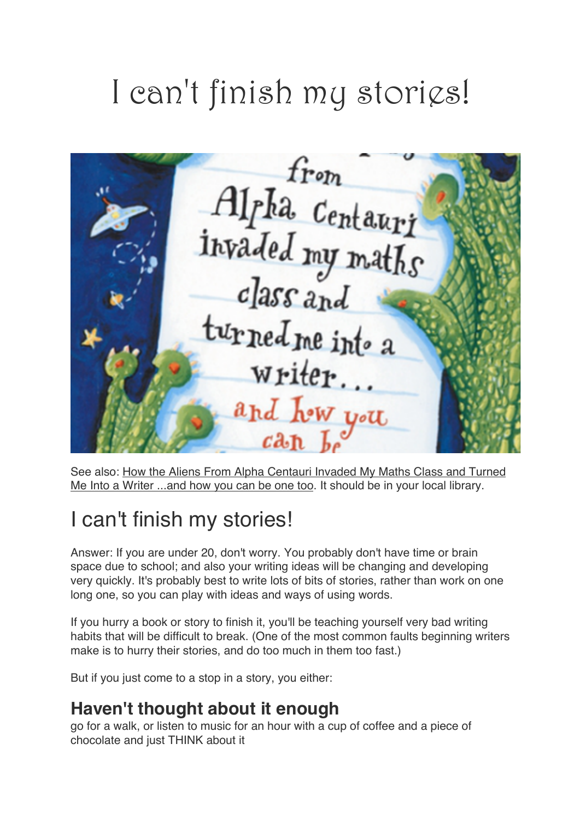# I can't finish my storigs!

from Alpha Centauri<br>invaded my maths  $class$   $_{and}$ turned me into a writer... and how you

See also: How the Aliens From Alpha Centauri Invaded My Maths Class and Turned Me Into a Writer ...and how you can be one too. It should be in your local library.

# I can't finish my stories!

Answer: If you are under 20, don't worry. You probably don't have time or brain space due to school; and also your writing ideas will be changing and developing very quickly. It's probably best to write lots of bits of stories, rather than work on one long one, so you can play with ideas and ways of using words.

If you hurry a book or story to finish it, you'll be teaching yourself very bad writing habits that will be difficult to break. (One of the most common faults beginning writers make is to hurry their stories, and do too much in them too fast.)

But if you just come to a stop in a story, you either:

#### **Haven't thought about it enough**

go for a walk, or listen to music for an hour with a cup of coffee and a piece of chocolate and just THINK about it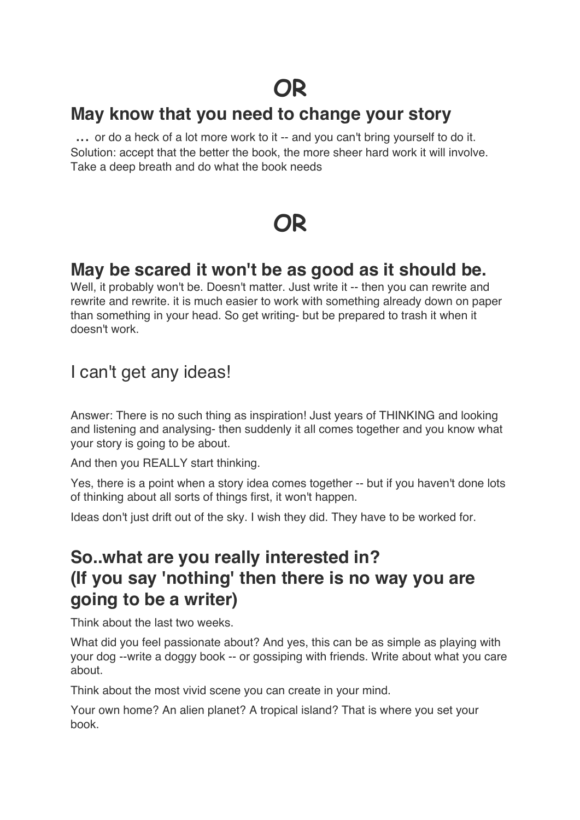# **OR**

#### **May know that you need to change your story**

... or do a heck of a lot more work to it -- and you can't bring yourself to do it. Solution: accept that the better the book, the more sheer hard work it will involve. Take a deep breath and do what the book needs

# **OR**

#### **May be scared it won't be as good as it should be.**

Well, it probably won't be. Doesn't matter. Just write it -- then you can rewrite and rewrite and rewrite. it is much easier to work with something already down on paper than something in your head. So get writing- but be prepared to trash it when it doesn't work.

#### I can't get any ideas!

Answer: There is no such thing as inspiration! Just years of THINKING and looking and listening and analysing- then suddenly it all comes together and you know what your story is going to be about.

And then you REALLY start thinking.

Yes, there is a point when a story idea comes together -- but if you haven't done lots of thinking about all sorts of things first, it won't happen.

Ideas don't just drift out of the sky. I wish they did. They have to be worked for.

#### **So..what are you really interested in? (If you say 'nothing' then there is no way you are going to be a writer)**

Think about the last two weeks.

What did you feel passionate about? And yes, this can be as simple as playing with your dog --write a doggy book -- or gossiping with friends. Write about what you care about.

Think about the most vivid scene you can create in your mind.

Your own home? An alien planet? A tropical island? That is where you set your book.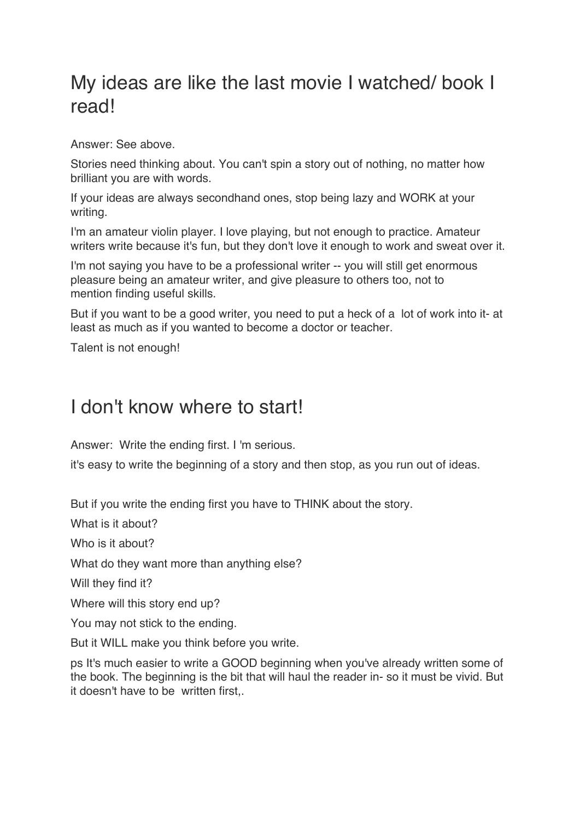## My ideas are like the last movie I watched/ book I read!

Answer: See above.

Stories need thinking about. You can't spin a story out of nothing, no matter how brilliant you are with words.

If your ideas are always secondhand ones, stop being lazy and WORK at your writing.

I'm an amateur violin player. I love playing, but not enough to practice. Amateur writers write because it's fun, but they don't love it enough to work and sweat over it.

I'm not saying you have to be a professional writer -- you will still get enormous pleasure being an amateur writer, and give pleasure to others too, not to mention finding useful skills.

But if you want to be a good writer, you need to put a heck of a lot of work into it- at least as much as if you wanted to become a doctor or teacher.

Talent is not enough!

#### I don't know where to start!

Answer: Write the ending first. I 'm serious.

it's easy to write the beginning of a story and then stop, as you run out of ideas.

But if you write the ending first you have to THINK about the story.

What is it about?

Who is it about?

What do they want more than anything else?

Will they find it?

Where will this story end up?

You may not stick to the ending.

But it WILL make you think before you write.

ps It's much easier to write a GOOD beginning when you've already written some of the book. The beginning is the bit that will haul the reader in- so it must be vivid. But it doesn't have to be written first,.